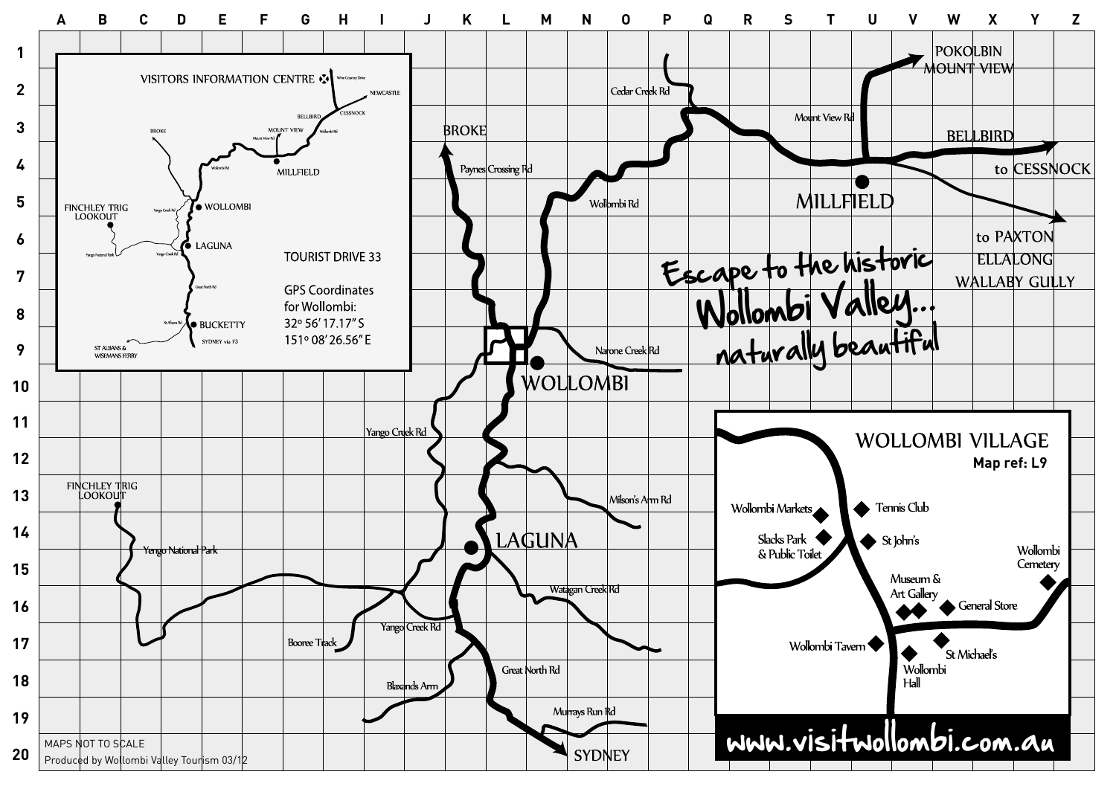